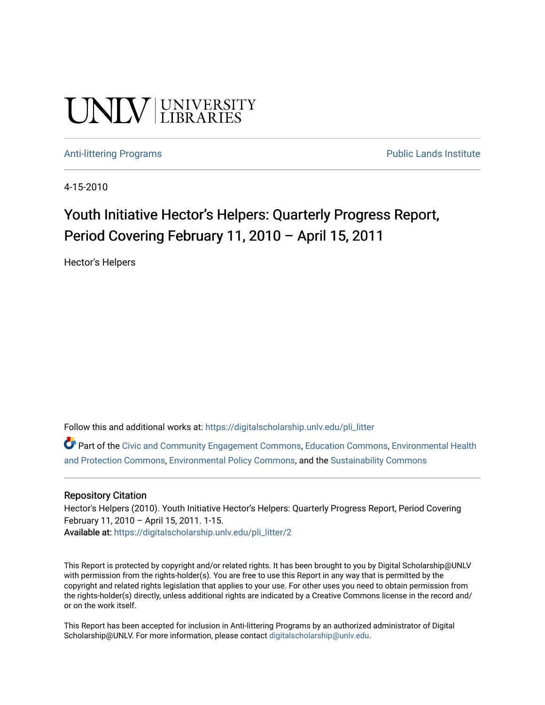# **UNIVERSITY**

#### [Anti-littering Programs](https://digitalscholarship.unlv.edu/pli_litter) **Public Lands Institute** Public Lands Institute

4-15-2010

### Youth Initiative Hector's Helpers: Quarterly Progress Report, Period Covering February 11, 2010 – April 15, 2011

Hector's Helpers

Follow this and additional works at: [https://digitalscholarship.unlv.edu/pli\\_litter](https://digitalscholarship.unlv.edu/pli_litter?utm_source=digitalscholarship.unlv.edu%2Fpli_litter%2F2&utm_medium=PDF&utm_campaign=PDFCoverPages) 

Part of the [Civic and Community Engagement Commons](http://network.bepress.com/hgg/discipline/1028?utm_source=digitalscholarship.unlv.edu%2Fpli_litter%2F2&utm_medium=PDF&utm_campaign=PDFCoverPages), [Education Commons,](http://network.bepress.com/hgg/discipline/784?utm_source=digitalscholarship.unlv.edu%2Fpli_litter%2F2&utm_medium=PDF&utm_campaign=PDFCoverPages) [Environmental Health](http://network.bepress.com/hgg/discipline/172?utm_source=digitalscholarship.unlv.edu%2Fpli_litter%2F2&utm_medium=PDF&utm_campaign=PDFCoverPages)  [and Protection Commons,](http://network.bepress.com/hgg/discipline/172?utm_source=digitalscholarship.unlv.edu%2Fpli_litter%2F2&utm_medium=PDF&utm_campaign=PDFCoverPages) [Environmental Policy Commons,](http://network.bepress.com/hgg/discipline/1027?utm_source=digitalscholarship.unlv.edu%2Fpli_litter%2F2&utm_medium=PDF&utm_campaign=PDFCoverPages) and the [Sustainability Commons](http://network.bepress.com/hgg/discipline/1031?utm_source=digitalscholarship.unlv.edu%2Fpli_litter%2F2&utm_medium=PDF&utm_campaign=PDFCoverPages) 

#### Repository Citation

Hector's Helpers (2010). Youth Initiative Hector's Helpers: Quarterly Progress Report, Period Covering February 11, 2010 – April 15, 2011. 1-15. Available at: [https://digitalscholarship.unlv.edu/pli\\_litter/2](https://digitalscholarship.unlv.edu/pli_litter/2) 

This Report is protected by copyright and/or related rights. It has been brought to you by Digital Scholarship@UNLV with permission from the rights-holder(s). You are free to use this Report in any way that is permitted by the copyright and related rights legislation that applies to your use. For other uses you need to obtain permission from the rights-holder(s) directly, unless additional rights are indicated by a Creative Commons license in the record and/ or on the work itself.

This Report has been accepted for inclusion in Anti-littering Programs by an authorized administrator of Digital Scholarship@UNLV. For more information, please contact [digitalscholarship@unlv.edu.](mailto:digitalscholarship@unlv.edu)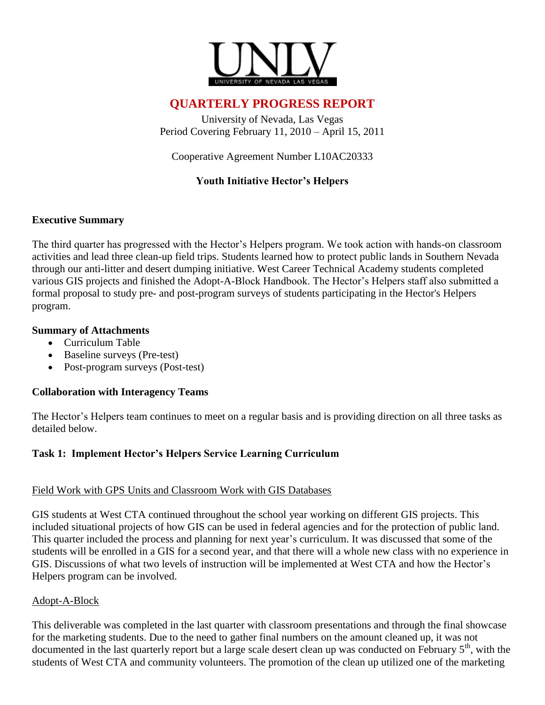

#### **QUARTERLY PROGRESS REPORT**

University of Nevada, Las Vegas Period Covering February 11, 2010 – April 15, 2011

Cooperative Agreement Number L10AC20333

#### **Youth Initiative Hector's Helpers**

#### **Executive Summary**

The third quarter has progressed with the Hector's Helpers program. We took action with hands-on classroom activities and lead three clean-up field trips. Students learned how to protect public lands in Southern Nevada through our anti-litter and desert dumping initiative. West Career Technical Academy students completed various GIS projects and finished the Adopt-A-Block Handbook. The Hector's Helpers staff also submitted a formal proposal to study pre- and post-program surveys of students participating in the Hector's Helpers program.

#### **Summary of Attachments**

- Curriculum Table
- Baseline surveys (Pre-test)
- Post-program surveys (Post-test)

#### **Collaboration with Interagency Teams**

The Hector's Helpers team continues to meet on a regular basis and is providing direction on all three tasks as detailed below.

#### **Task 1: Implement Hector's Helpers Service Learning Curriculum**

#### Field Work with GPS Units and Classroom Work with GIS Databases

GIS students at West CTA continued throughout the school year working on different GIS projects. This included situational projects of how GIS can be used in federal agencies and for the protection of public land. This quarter included the process and planning for next year's curriculum. It was discussed that some of the students will be enrolled in a GIS for a second year, and that there will a whole new class with no experience in GIS. Discussions of what two levels of instruction will be implemented at West CTA and how the Hector's Helpers program can be involved.

#### Adopt-A-Block

This deliverable was completed in the last quarter with classroom presentations and through the final showcase for the marketing students. Due to the need to gather final numbers on the amount cleaned up, it was not documented in the last quarterly report but a large scale desert clean up was conducted on February  $5<sup>th</sup>$ , with the students of West CTA and community volunteers. The promotion of the clean up utilized one of the marketing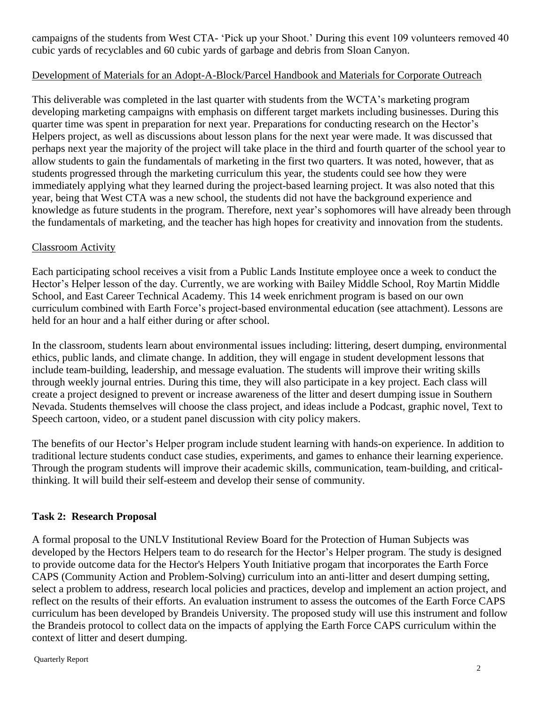campaigns of the students from West CTA- 'Pick up your Shoot.' During this event 109 volunteers removed 40 cubic yards of recyclables and 60 cubic yards of garbage and debris from Sloan Canyon.

#### Development of Materials for an Adopt-A-Block/Parcel Handbook and Materials for Corporate Outreach

This deliverable was completed in the last quarter with students from the WCTA's marketing program developing marketing campaigns with emphasis on different target markets including businesses. During this quarter time was spent in preparation for next year. Preparations for conducting research on the Hector's Helpers project, as well as discussions about lesson plans for the next year were made. It was discussed that perhaps next year the majority of the project will take place in the third and fourth quarter of the school year to allow students to gain the fundamentals of marketing in the first two quarters. It was noted, however, that as students progressed through the marketing curriculum this year, the students could see how they were immediately applying what they learned during the project-based learning project. It was also noted that this year, being that West CTA was a new school, the students did not have the background experience and knowledge as future students in the program. Therefore, next year's sophomores will have already been through the fundamentals of marketing, and the teacher has high hopes for creativity and innovation from the students.

#### Classroom Activity

Each participating school receives a visit from a Public Lands Institute employee once a week to conduct the Hector's Helper lesson of the day. Currently, we are working with Bailey Middle School, Roy Martin Middle School, and East Career Technical Academy. This 14 week enrichment program is based on our own curriculum combined with Earth Force's project-based environmental education (see attachment). Lessons are held for an hour and a half either during or after school.

In the classroom, students learn about environmental issues including: littering, desert dumping, environmental ethics, public lands, and climate change. In addition, they will engage in student development lessons that include team-building, leadership, and message evaluation. The students will improve their writing skills through weekly journal entries. During this time, they will also participate in a key project. Each class will create a project designed to prevent or increase awareness of the litter and desert dumping issue in Southern Nevada. Students themselves will choose the class project, and ideas include a Podcast, graphic novel, Text to Speech cartoon, video, or a student panel discussion with city policy makers.

The benefits of our Hector's Helper program include student learning with hands-on experience. In addition to traditional lecture students conduct case studies, experiments, and games to enhance their learning experience. Through the program students will improve their academic skills, communication, team-building, and criticalthinking. It will build their self-esteem and develop their sense of community.

#### **Task 2: Research Proposal**

A formal proposal to the UNLV Institutional Review Board for the Protection of Human Subjects was developed by the Hectors Helpers team to do research for the Hector's Helper program. The study is designed to provide outcome data for the Hector's Helpers Youth Initiative progam that incorporates the Earth Force CAPS (Community Action and Problem-Solving) curriculum into an anti-litter and desert dumping setting, select a problem to address, research local policies and practices, develop and implement an action project, and reflect on the results of their efforts. An evaluation instrument to assess the outcomes of the Earth Force CAPS curriculum has been developed by Brandeis University. The proposed study will use this instrument and follow the Brandeis protocol to collect data on the impacts of applying the Earth Force CAPS curriculum within the context of litter and desert dumping.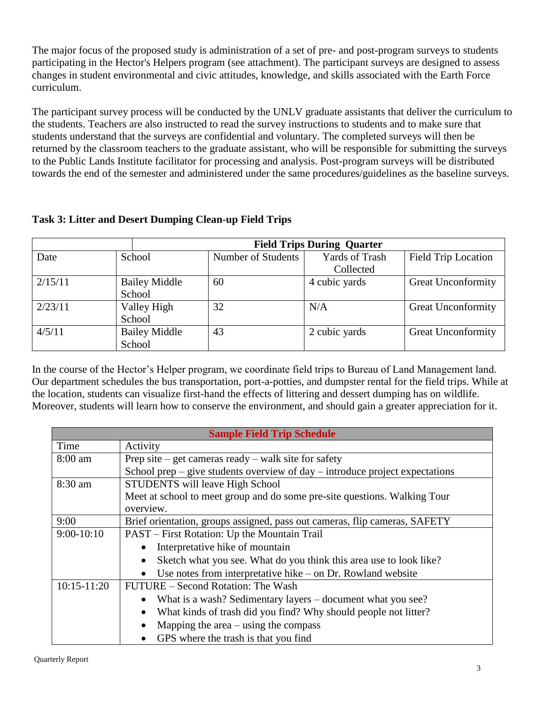The major focus of the proposed study is administration of a set of pre- and post-program surveys to students participating in the Hector's Helpers program (see attachment). The participant surveys are designed to assess changes in student environmental and civic attitudes, knowledge, and skills associated with the Earth Force curriculum.

The participant survey process will be conducted by the UNLV graduate assistants that deliver the curriculum to the students. Teachers are also instructed to read the survey instructions to students and to make sure that students understand that the surveys are confidential and voluntary. The completed surveys will then be returned by the classroom teachers to the graduate assistant, who will be responsible for submitting the surveys to the Public Lands Institute facilitator for processing and analysis. Post-program surveys will be distributed towards the end of the semester and administered under the same procedures/guidelines as the baseline surveys.

#### **Task 3: Litter and Desert Dumping Clean-up Field Trips**

|         |                      | <b>Field Trips During Quarter</b> |                       |                            |
|---------|----------------------|-----------------------------------|-----------------------|----------------------------|
| Date    | School               | Number of Students                | <b>Yards of Trash</b> | <b>Field Trip Location</b> |
|         |                      |                                   | Collected             |                            |
| 2/15/11 | <b>Bailey Middle</b> | 60                                | 4 cubic yards         | <b>Great Unconformity</b>  |
|         | School               |                                   |                       |                            |
| 2/23/11 | Valley High          | 32                                | N/A                   | <b>Great Unconformity</b>  |
|         | School               |                                   |                       |                            |
| 4/5/11  | <b>Bailey Middle</b> | 43                                | 2 cubic yards         | <b>Great Unconformity</b>  |
|         | School               |                                   |                       |                            |

In the course of the Hector's Helper program, we coordinate field trips to Bureau of Land Management land. Our department schedules the bus transportation, port-a-potties, and dumpster rental for the field trips. While at the location, students can visualize first-hand the effects of littering and dessert dumping has on wildlife. Moreover, students will learn how to conserve the environment, and should gain a greater appreciation for it.

|                 | <b>Sample Field Trip Schedule</b>                                               |  |  |  |  |  |  |  |
|-----------------|---------------------------------------------------------------------------------|--|--|--|--|--|--|--|
| Time            | Activity                                                                        |  |  |  |  |  |  |  |
| $8:00$ am       | Prep site – get cameras ready – walk site for safety                            |  |  |  |  |  |  |  |
|                 | School prep – give students overview of day – introduce project expectations    |  |  |  |  |  |  |  |
| 8:30 am         | <b>STUDENTS</b> will leave High School                                          |  |  |  |  |  |  |  |
|                 | Meet at school to meet group and do some pre-site questions. Walking Tour       |  |  |  |  |  |  |  |
|                 | overview.                                                                       |  |  |  |  |  |  |  |
| 9:00            | Brief orientation, groups assigned, pass out cameras, flip cameras, SAFETY      |  |  |  |  |  |  |  |
| $9:00-10:10$    | PAST – First Rotation: Up the Mountain Trail                                    |  |  |  |  |  |  |  |
|                 | Interpretative hike of mountain<br>$\bullet$                                    |  |  |  |  |  |  |  |
|                 | Sketch what you see. What do you think this area use to look like?<br>$\bullet$ |  |  |  |  |  |  |  |
|                 | Use notes from interpretative hike $-$ on Dr. Rowland website<br>$\bullet$      |  |  |  |  |  |  |  |
| $10:15 - 11:20$ | FUTURE – Second Rotation: The Wash                                              |  |  |  |  |  |  |  |
|                 | What is a wash? Sedimentary layers - document what you see?<br>٠                |  |  |  |  |  |  |  |
|                 | What kinds of trash did you find? Why should people not litter?<br>$\bullet$    |  |  |  |  |  |  |  |
|                 | Mapping the area $-\,\text{using}$ the compass<br>$\bullet$                     |  |  |  |  |  |  |  |
|                 | GPS where the trash is that you find<br>$\bullet$                               |  |  |  |  |  |  |  |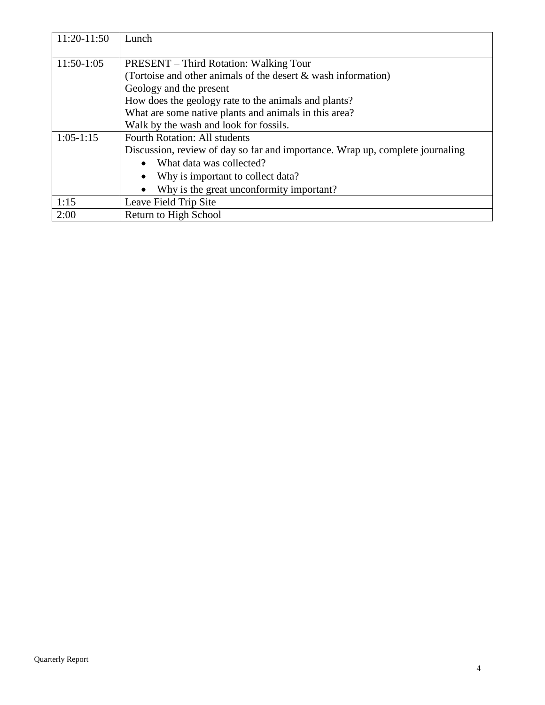| 11:20-11:50  | Lunch                                                                         |
|--------------|-------------------------------------------------------------------------------|
|              |                                                                               |
| $11:50-1:05$ | <b>PRESENT</b> – Third Rotation: Walking Tour                                 |
|              | (Tortoise and other animals of the desert & wash information)                 |
|              | Geology and the present                                                       |
|              | How does the geology rate to the animals and plants?                          |
|              | What are some native plants and animals in this area?                         |
|              | Walk by the wash and look for fossils.                                        |
| $1:05-1:15$  | <b>Fourth Rotation: All students</b>                                          |
|              | Discussion, review of day so far and importance. Wrap up, complete journaling |
|              | What data was collected?<br>$\bullet$                                         |
|              | Why is important to collect data?                                             |
|              | Why is the great unconformity important?<br>$\bullet$                         |
| 1:15         | Leave Field Trip Site                                                         |
| 2:00         | Return to High School                                                         |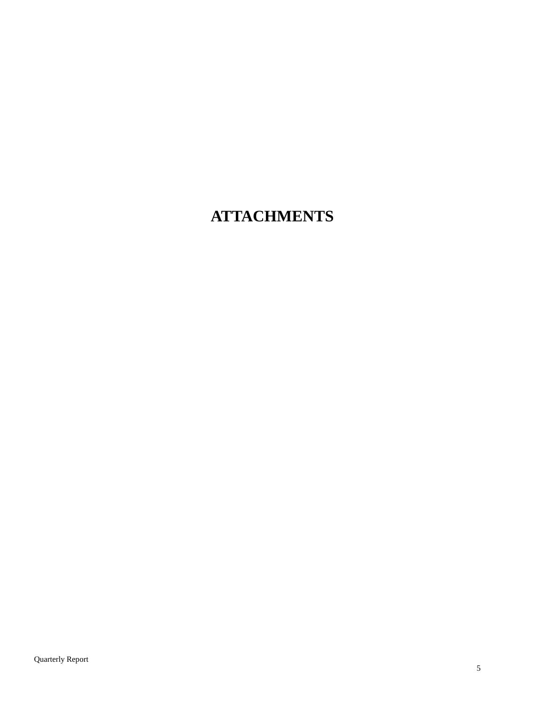### **ATTACHMENTS**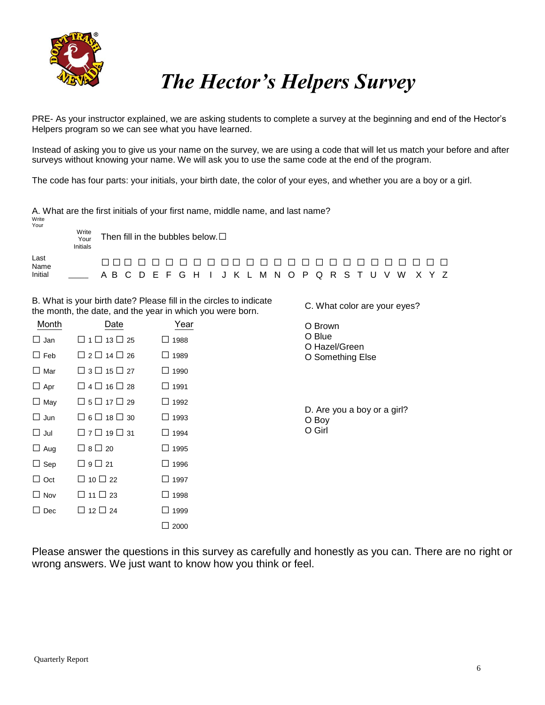

# *The Hector's Helpers Survey*

C. What color are your eyes?

PRE- As your instructor explained, we are asking students to complete a survey at the beginning and end of the Hector's Helpers program so we can see what you have learned.

Instead of asking you to give us your name on the survey, we are using a code that will let us match your before and after surveys without knowing your name. We will ask you to use the same code at the end of the program.

The code has four parts: your initials, your birth date, the color of your eyes, and whether you are a boy or a girl.

| Write                   |                           | A. What are the first initials of your first name, middle name, and last name?   |  |  |  |  |  |  |  |  |  |  |  |
|-------------------------|---------------------------|----------------------------------------------------------------------------------|--|--|--|--|--|--|--|--|--|--|--|
| Your                    | Write<br>Your<br>Initials | Then fill in the bubbles below. $\square$                                        |  |  |  |  |  |  |  |  |  |  |  |
| Last<br>Name<br>Initial |                           | ------------<br>_________<br>A B C D E F G H I J K L M N O P Q R S T U V W X Y Z |  |  |  |  |  |  |  |  |  |  |  |

B. What is your birth date? Please fill in the circles to indicate the month, the date, and the year in which you were born.

| Month      | Date                         | Year           | O Brown                              |
|------------|------------------------------|----------------|--------------------------------------|
| $\Box$ Jan | $\Box$ 1 $\Box$ 13 $\Box$ 25 | 1988<br>$\Box$ | O Blue<br>O Hazel/Green              |
| $\Box$ Feb | $\Box$ 2 $\Box$ 14 $\Box$ 26 | 1989<br>ப      | O Something Else                     |
| $\Box$ Mar | $\Box$ 3 $\Box$ 15 $\Box$ 27 | $\Box$ 1990    |                                      |
| $\Box$ Apr | $\Box$ 4 $\Box$ 16 $\Box$ 28 | $\Box$ 1991    |                                      |
| $\Box$ May | $\Box$ 5 $\Box$ 17 $\Box$ 29 | $\Box$ 1992    |                                      |
| $\Box$ Jun | $\Box$ 6 $\Box$ 18 $\Box$ 30 | $\Box$ 1993    | D. Are you a boy or a girl?<br>O Boy |
| $\Box$ Jul | $\Box$ 7 $\Box$ 19 $\Box$ 31 | $\Box$ 1994    | O Girl                               |
| $\Box$ Aug | $\Box$ 8 $\Box$ 20           | $\Box$ 1995    |                                      |
| $\Box$ Sep | $\Box$ 9 $\Box$ 21           | □ 1996         |                                      |
| $\Box$ Oct | $\Box$ 10 $\Box$ 22          | $\Box$ 1997    |                                      |
| $\Box$ Nov | $\Box$ 11 $\Box$ 23          | □ 1998         |                                      |
| $\Box$ Dec | $\Box$ 12 $\Box$ 24          | $\Box$ 1999    |                                      |
|            |                              | 2000<br>$\Box$ |                                      |

Please answer the questions in this survey as carefully and honestly as you can. There are no right or wrong answers. We just want to know how you think or feel.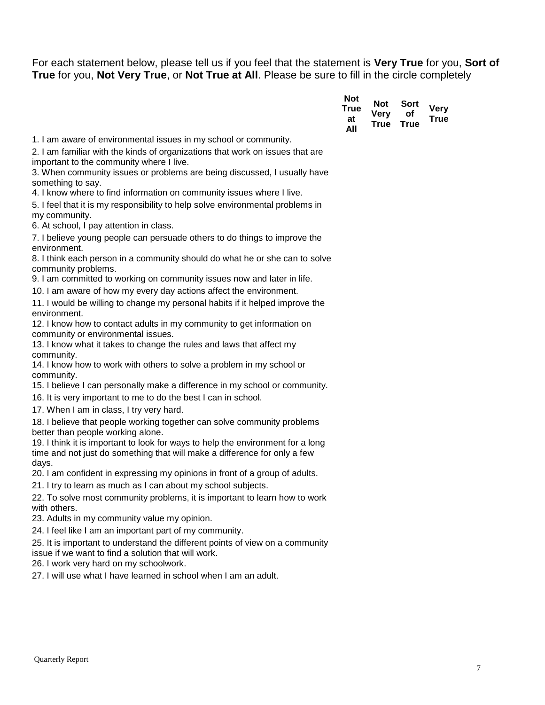For each statement below, please tell us if you feel that the statement is **Very True** for you, **Sort of True** for you, **Not Very True**, or **Not True at All**. Please be sure to fill in the circle completely

| Not<br>True<br>at | Not<br>Verv<br>True | Sort<br>Οf<br>True | <b>Very</b><br><b>True</b> |
|-------------------|---------------------|--------------------|----------------------------|
| All               |                     |                    |                            |

1. I am aware of environmental issues in my school or community.

2. I am familiar with the kinds of organizations that work on issues that are important to the community where I live.

3. When community issues or problems are being discussed, I usually have something to say.

4. I know where to find information on community issues where I live.

5. I feel that it is my responsibility to help solve environmental problems in my community.

6. At school, I pay attention in class.

7. I believe young people can persuade others to do things to improve the environment.

8. I think each person in a community should do what he or she can to solve community problems.

9. I am committed to working on community issues now and later in life.

10. I am aware of how my every day actions affect the environment.

11. I would be willing to change my personal habits if it helped improve the environment.

12. I know how to contact adults in my community to get information on community or environmental issues.

13. I know what it takes to change the rules and laws that affect my community.

14. I know how to work with others to solve a problem in my school or community.

15. I believe I can personally make a difference in my school or community.

16. It is very important to me to do the best I can in school.

17. When I am in class, I try very hard.

18. I believe that people working together can solve community problems better than people working alone.

19. I think it is important to look for ways to help the environment for a long time and not just do something that will make a difference for only a few days.

20. I am confident in expressing my opinions in front of a group of adults.

21. I try to learn as much as I can about my school subjects.

22. To solve most community problems, it is important to learn how to work with others.

23. Adults in my community value my opinion.

24. I feel like I am an important part of my community.

25. It is important to understand the different points of view on a community issue if we want to find a solution that will work.

26. I work very hard on my schoolwork.

27. I will use what I have learned in school when I am an adult.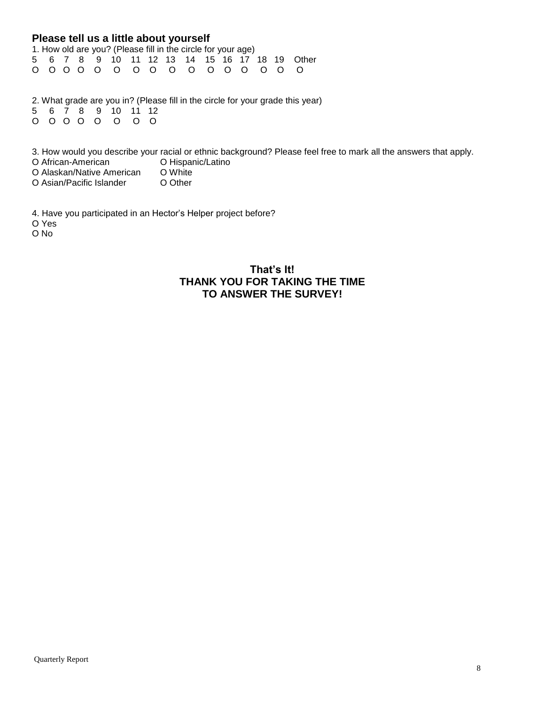#### **Please tell us a little about yourself**

|  |  |  |  | 1. How old are you? (Please fill in the circle for your age) |  |  |                                                              |
|--|--|--|--|--------------------------------------------------------------|--|--|--------------------------------------------------------------|
|  |  |  |  |                                                              |  |  | 5  6  7  8  9  10  11  12  13  14  15  16  17  18  19  Other |
|  |  |  |  |                                                              |  |  |                                                              |

2. What grade are you in? (Please fill in the circle for your grade this year) 5 6 7 8 9 10 11 12 O O O O O O O O

3. How would you describe your racial or ethnic background? Please feel free to mark all the answers that apply.<br>O African-American **CHI**III O Hispanic/Latino O African-American<br>
O Alaskan/Native American O White

O Alaskan/Native American O White<br>O Asian/Pacific Islander O Other O Asian/Pacific Islander

4. Have you participated in an Hector's Helper project before?

O Yes

O No

#### **That's It! THANK YOU FOR TAKING THE TIME TO ANSWER THE SURVEY!**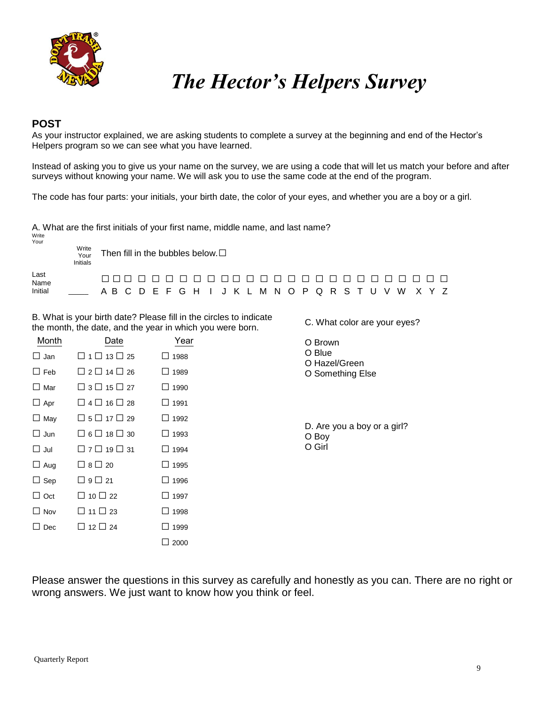

## *The Hector's Helpers Survey*

C. What color are your eyes?

#### **POST**

As your instructor explained, we are asking students to complete a survey at the beginning and end of the Hector's Helpers program so we can see what you have learned.

Instead of asking you to give us your name on the survey, we are using a code that will let us match your before and after surveys without knowing your name. We will ask you to use the same code at the end of the program.

The code has four parts: your initials, your birth date, the color of your eyes, and whether you are a boy or a girl.

A. What are the first initials of your first name, middle name, and last name?

| Write<br>Your | Write<br>Your<br>Initials | Then fill in the bubbles below. $\square$           |  |  |  |  |  |  |  |  |  |  |  |  |
|---------------|---------------------------|-----------------------------------------------------|--|--|--|--|--|--|--|--|--|--|--|--|
| Last<br>Name  |                           | _______________________________                     |  |  |  |  |  |  |  |  |  |  |  |  |
| Initial       |                           | A B C D E F G H I J K L M N O P Q R S T U V W X Y Z |  |  |  |  |  |  |  |  |  |  |  |  |

B. What is your birth date? Please fill in the circles to indicate the month, the date, and the year in which you were born.

| Month      | Date                         | Year            | O Brown                              |
|------------|------------------------------|-----------------|--------------------------------------|
| $\Box$ Jan | $\Box$ 1 $\Box$ 13 $\Box$ 25 | $\Box$ 1988     | O Blue<br>O Hazel/Green              |
| $\Box$ Feb | $\Box$ 2 $\Box$ 14 $\Box$ 26 | $\Box$ 1989     | O Something Else                     |
| $\Box$ Mar | $\Box$ 3 $\Box$ 15 $\Box$ 27 | $\Box$ 1990     |                                      |
| $\Box$ Apr | $\Box$ 4 $\Box$ 16 $\Box$ 28 | $\Box$ 1991     |                                      |
| $\Box$ May | $\Box$ 5 $\Box$ 17 $\Box$ 29 | $\Box$ 1992     |                                      |
| $\Box$ Jun | $\Box$ 6 $\Box$ 18 $\Box$ 30 | $\Box$ 1993     | D. Are you a boy or a girl?<br>O Boy |
| $\Box$ Jul | $\Box$ 7 $\Box$ 19 $\Box$ 31 | $\Box$ 1994     | O Girl                               |
| $\Box$ Aug | $\Box$ 8 $\Box$ 20           | $\Box$ 1995     |                                      |
| $\Box$ Sep | $\Box$ 9 $\Box$ 21           | $\Box$ 1996     |                                      |
| $\Box$ Oct | $\Box$ 10 $\Box$ 22          | $\Box$ 1997     |                                      |
| $\Box$ Nov | $\Box$ 11 $\Box$ 23          | $\Box$ 1998     |                                      |
| $\Box$ Dec | $\Box$ 12 $\Box$ 24          | $\Box$ 1999     |                                      |
|            |                              | 2000<br>$\perp$ |                                      |

Please answer the questions in this survey as carefully and honestly as you can. There are no right or wrong answers. We just want to know how you think or feel.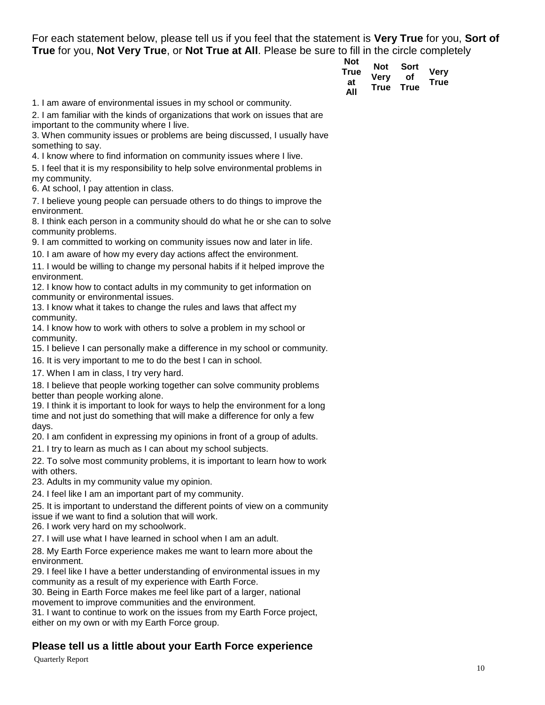For each statement below, please tell us if you feel that the statement is **Very True** for you, **Sort of True** for you, **Not Very True**, or **Not True at All**. Please be sure to fill in the circle completely

| Not  | Not  | Sort |             |
|------|------|------|-------------|
| True | Verv | Οf   | <b>Very</b> |
| at   | True | True | <b>True</b> |
| All  |      |      |             |

1. I am aware of environmental issues in my school or community.

2. I am familiar with the kinds of organizations that work on issues that are important to the community where I live.

3. When community issues or problems are being discussed, I usually have something to say.

4. I know where to find information on community issues where I live.

5. I feel that it is my responsibility to help solve environmental problems in my community.

6. At school, I pay attention in class.

7. I believe young people can persuade others to do things to improve the environment.

8. I think each person in a community should do what he or she can to solve community problems.

9. I am committed to working on community issues now and later in life.

10. I am aware of how my every day actions affect the environment.

11. I would be willing to change my personal habits if it helped improve the environment.

12. I know how to contact adults in my community to get information on community or environmental issues.

13. I know what it takes to change the rules and laws that affect my community.

14. I know how to work with others to solve a problem in my school or community.

15. I believe I can personally make a difference in my school or community.

16. It is very important to me to do the best I can in school.

17. When I am in class, I try very hard.

18. I believe that people working together can solve community problems better than people working alone.

19. I think it is important to look for ways to help the environment for a long time and not just do something that will make a difference for only a few days.

20. I am confident in expressing my opinions in front of a group of adults.

21. I try to learn as much as I can about my school subjects.

22. To solve most community problems, it is important to learn how to work with others.

23. Adults in my community value my opinion.

24. I feel like I am an important part of my community.

25. It is important to understand the different points of view on a community issue if we want to find a solution that will work.

26. I work very hard on my schoolwork.

27. I will use what I have learned in school when I am an adult.

28. My Earth Force experience makes me want to learn more about the environment.

29. I feel like I have a better understanding of environmental issues in my community as a result of my experience with Earth Force.

30. Being in Earth Force makes me feel like part of a larger, national

movement to improve communities and the environment.

31. I want to continue to work on the issues from my Earth Force project, either on my own or with my Earth Force group.

#### **Please tell us a little about your Earth Force experience**

Quarterly Report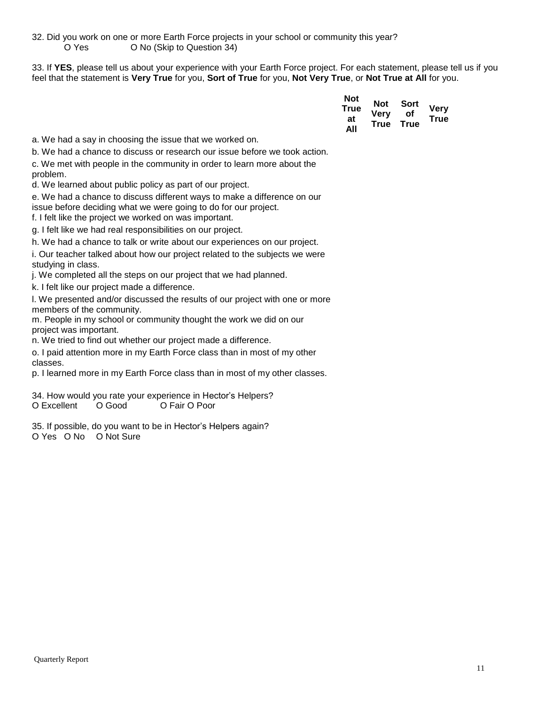32. Did you work on one or more Earth Force projects in your school or community this year? O Yes O No (Skip to Question 34)

33. If **YES**, please tell us about your experience with your Earth Force project. For each statement, please tell us if you feel that the statement is **Very True** for you, **Sort of True** for you, **Not Very True**, or **Not True at All** for you.

| Not<br>True<br>at | Not<br>Verv<br>True | Sort<br>Οf<br>True | <b>Very</b><br><b>True</b> |
|-------------------|---------------------|--------------------|----------------------------|
| ΔIΙ               |                     |                    |                            |

a. We had a say in choosing the issue that we worked on.

b. We had a chance to discuss or research our issue before we took action.

c. We met with people in the community in order to learn more about the problem.

d. We learned about public policy as part of our project.

e. We had a chance to discuss different ways to make a difference on our issue before deciding what we were going to do for our project.

f. I felt like the project we worked on was important.

g. I felt like we had real responsibilities on our project.

h. We had a chance to talk or write about our experiences on our project.

i. Our teacher talked about how our project related to the subjects we were studying in class.

j. We completed all the steps on our project that we had planned.

k. I felt like our project made a difference.

l. We presented and/or discussed the results of our project with one or more members of the community.

m. People in my school or community thought the work we did on our project was important.

n. We tried to find out whether our project made a difference.

o. I paid attention more in my Earth Force class than in most of my other classes.

p. I learned more in my Earth Force class than in most of my other classes.

34. How would you rate your experience in Hector's Helpers? O Excellent O Good O Fair O Poor

35. If possible, do you want to be in Hector's Helpers again? O Yes O No O Not Sure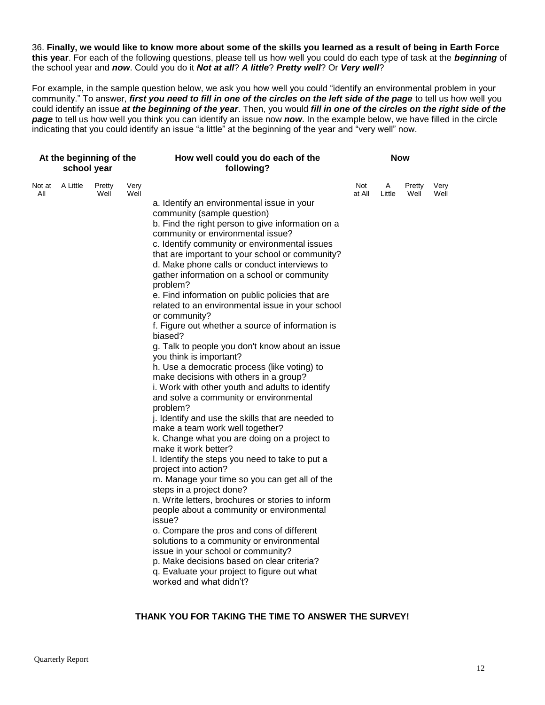36. **Finally, we would like to know more about some of the skills you learned as a result of being in Earth Force this year**. For each of the following questions, please tell us how well you could do each type of task at the *beginning* of the school year and *now*. Could you do it *Not at all*? *A little*? *Pretty well*? Or *Very well*?

For example, in the sample question below, we ask you how well you could "identify an environmental problem in your community." To answer, *first you need to fill in one of the circles on the left side of the page* to tell us how well you could identify an issue *at the beginning of the year*. Then, you would *fill in one of the circles on the right side of the page* to tell us how well you think you can identify an issue now *now*. In the example below, we have filled in the circle indicating that you could identify an issue "a little" at the beginning of the year and "very well" now.

| At the beginning of the<br>school year |                 |                |              | How well could you do each of the<br>following?                                                                                                                                                                                                                                                                                                                                                                                                                                                                                                                                                                                                                                                                                                                                                                                                                                                                                                                                                                                                                                                                                                                                                                                                                                                                                                                                                                                                                                                                                                       | <b>Now</b>    |             |                |              |  |  |  |
|----------------------------------------|-----------------|----------------|--------------|-------------------------------------------------------------------------------------------------------------------------------------------------------------------------------------------------------------------------------------------------------------------------------------------------------------------------------------------------------------------------------------------------------------------------------------------------------------------------------------------------------------------------------------------------------------------------------------------------------------------------------------------------------------------------------------------------------------------------------------------------------------------------------------------------------------------------------------------------------------------------------------------------------------------------------------------------------------------------------------------------------------------------------------------------------------------------------------------------------------------------------------------------------------------------------------------------------------------------------------------------------------------------------------------------------------------------------------------------------------------------------------------------------------------------------------------------------------------------------------------------------------------------------------------------------|---------------|-------------|----------------|--------------|--|--|--|
| All                                    | Not at A Little | Pretty<br>Well | Very<br>Well | a. Identify an environmental issue in your<br>community (sample question)<br>b. Find the right person to give information on a<br>community or environmental issue?<br>c. Identify community or environmental issues<br>that are important to your school or community?<br>d. Make phone calls or conduct interviews to<br>gather information on a school or community<br>problem?<br>e. Find information on public policies that are<br>related to an environmental issue in your school<br>or community?<br>f. Figure out whether a source of information is<br>biased?<br>g. Talk to people you don't know about an issue<br>you think is important?<br>h. Use a democratic process (like voting) to<br>make decisions with others in a group?<br>i. Work with other youth and adults to identify<br>and solve a community or environmental<br>problem?<br>j. Identify and use the skills that are needed to<br>make a team work well together?<br>k. Change what you are doing on a project to<br>make it work better?<br>I. Identify the steps you need to take to put a<br>project into action?<br>m. Manage your time so you can get all of the<br>steps in a project done?<br>n. Write letters, brochures or stories to inform<br>people about a community or environmental<br>issue?<br>o. Compare the pros and cons of different<br>solutions to a community or environmental<br>issue in your school or community?<br>p. Make decisions based on clear criteria?<br>q. Evaluate your project to figure out what<br>worked and what didn't? | Not<br>at All | A<br>Little | Pretty<br>Well | Very<br>Well |  |  |  |

#### **THANK YOU FOR TAKING THE TIME TO ANSWER THE SURVEY!**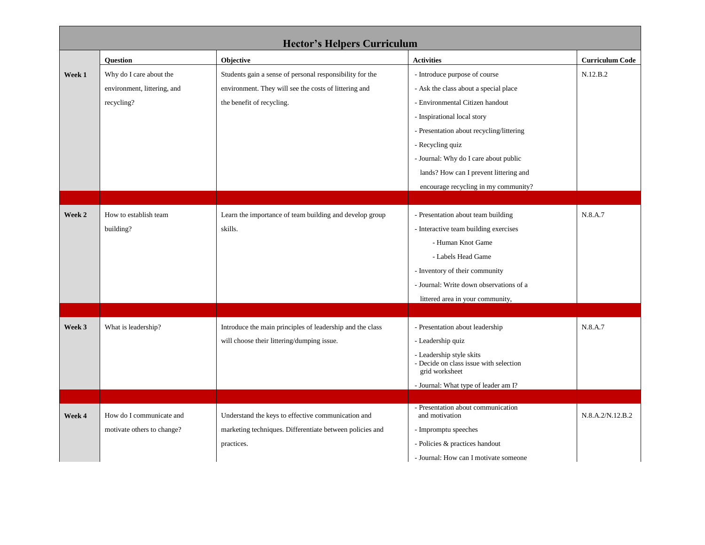| <b>Hector's Helpers Curriculum</b> |                             |                                                           |                                                                                      |                        |  |  |  |
|------------------------------------|-----------------------------|-----------------------------------------------------------|--------------------------------------------------------------------------------------|------------------------|--|--|--|
|                                    | <b>Question</b>             | Objective                                                 | <b>Activities</b>                                                                    | <b>Curriculum Code</b> |  |  |  |
| Week 1                             | Why do I care about the     | Students gain a sense of personal responsibility for the  | - Introduce purpose of course                                                        | N.12.B.2               |  |  |  |
|                                    | environment, littering, and | environment. They will see the costs of littering and     | - Ask the class about a special place                                                |                        |  |  |  |
|                                    | recycling?                  | the benefit of recycling.                                 | - Environmental Citizen handout                                                      |                        |  |  |  |
|                                    |                             |                                                           | - Inspirational local story                                                          |                        |  |  |  |
|                                    |                             |                                                           | - Presentation about recycling/littering                                             |                        |  |  |  |
|                                    |                             |                                                           | - Recycling quiz                                                                     |                        |  |  |  |
|                                    |                             |                                                           | - Journal: Why do I care about public                                                |                        |  |  |  |
|                                    |                             |                                                           | lands? How can I prevent littering and                                               |                        |  |  |  |
|                                    |                             |                                                           | encourage recycling in my community?                                                 |                        |  |  |  |
|                                    |                             |                                                           |                                                                                      |                        |  |  |  |
| Week 2                             | How to establish team       | Learn the importance of team building and develop group   | - Presentation about team building                                                   | N.8.A.7                |  |  |  |
|                                    | building?                   | skills.                                                   | - Interactive team building exercises                                                |                        |  |  |  |
|                                    |                             |                                                           | - Human Knot Game                                                                    |                        |  |  |  |
|                                    |                             |                                                           | - Labels Head Game                                                                   |                        |  |  |  |
|                                    |                             |                                                           | - Inventory of their community                                                       |                        |  |  |  |
|                                    |                             |                                                           | - Journal: Write down observations of a                                              |                        |  |  |  |
|                                    |                             |                                                           | littered area in your community,                                                     |                        |  |  |  |
|                                    |                             |                                                           |                                                                                      |                        |  |  |  |
| Week 3                             | What is leadership?         | Introduce the main principles of leadership and the class | - Presentation about leadership                                                      | N.8.A.7                |  |  |  |
|                                    |                             | will choose their littering/dumping issue.                | - Leadership quiz                                                                    |                        |  |  |  |
|                                    |                             |                                                           | - Leadership style skits<br>- Decide on class issue with selection<br>grid worksheet |                        |  |  |  |
|                                    |                             |                                                           | - Journal: What type of leader am I?                                                 |                        |  |  |  |
|                                    |                             |                                                           |                                                                                      |                        |  |  |  |
| Week 4                             | How do I communicate and    | Understand the keys to effective communication and        | - Presentation about communication<br>and motivation                                 | N.8.A.2/N.12.B.2       |  |  |  |
|                                    | motivate others to change?  | marketing techniques. Differentiate between policies and  | - Impromptu speeches                                                                 |                        |  |  |  |
|                                    |                             | practices.                                                | - Policies & practices handout                                                       |                        |  |  |  |
|                                    |                             |                                                           | - Journal: How can I motivate someone                                                |                        |  |  |  |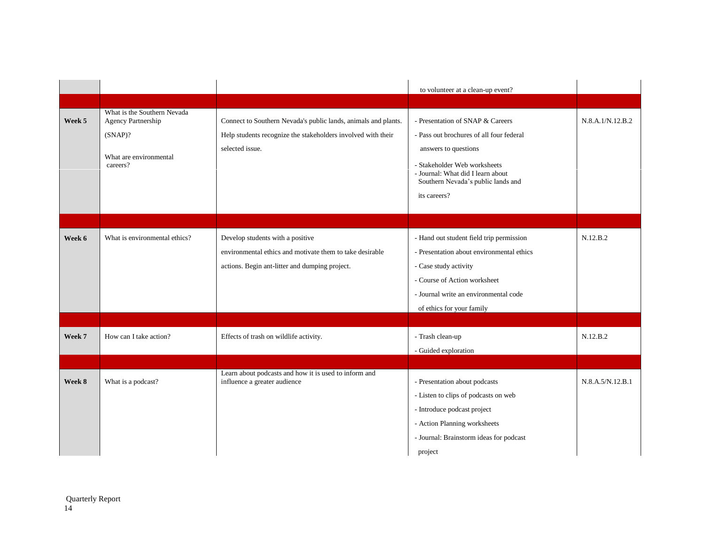|        |                                                                                                       |                                                                                                                                                   | to volunteer at a clean-up event?                                                                                                                                                                                               |                  |
|--------|-------------------------------------------------------------------------------------------------------|---------------------------------------------------------------------------------------------------------------------------------------------------|---------------------------------------------------------------------------------------------------------------------------------------------------------------------------------------------------------------------------------|------------------|
|        |                                                                                                       |                                                                                                                                                   |                                                                                                                                                                                                                                 |                  |
| Week 5 | What is the Southern Nevada<br>Agency Partnership<br>$(SNAP)$ ?<br>What are environmental<br>careers? | Connect to Southern Nevada's public lands, animals and plants.<br>Help students recognize the stakeholders involved with their<br>selected issue. | - Presentation of SNAP & Careers<br>- Pass out brochures of all four federal<br>answers to questions<br>- Stakeholder Web worksheets<br>- Journal: What did I learn about<br>Southern Nevada's public lands and<br>its careers? | N.8.A.1/N.12.B.2 |
|        |                                                                                                       |                                                                                                                                                   |                                                                                                                                                                                                                                 |                  |
| Week 6 | What is environmental ethics?                                                                         | Develop students with a positive<br>environmental ethics and motivate them to take desirable<br>actions. Begin ant-litter and dumping project.    | - Hand out student field trip permission<br>- Presentation about environmental ethics<br>- Case study activity<br>- Course of Action worksheet<br>- Journal write an environmental code<br>of ethics for your family            | N.12.B.2         |
| Week 7 | How can I take action?                                                                                | Effects of trash on wildlife activity.                                                                                                            | - Trash clean-up<br>- Guided exploration                                                                                                                                                                                        | N.12.B.2         |
| Week 8 | What is a podcast?                                                                                    | Learn about podcasts and how it is used to inform and<br>influence a greater audience                                                             | - Presentation about podcasts<br>- Listen to clips of podcasts on web<br>- Introduce podcast project<br>- Action Planning worksheets<br>- Journal: Brainstorm ideas for podcast<br>project                                      | N.8.A.5/N.12.B.1 |